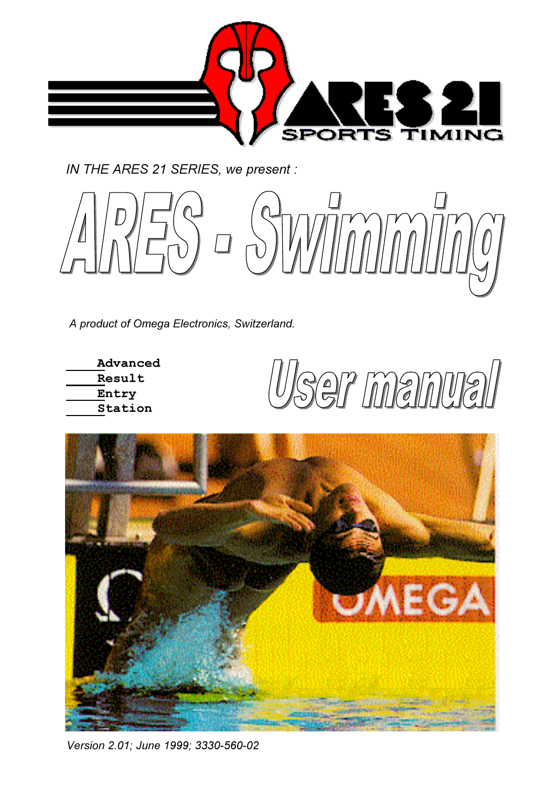

IN THE ARES 21 SERIES, we present:



A product of Omega Electronics, Switzerland.

Advanced Result Entry Station

**Jser manual** 



Version 2.01; June 1999; 3330-560-02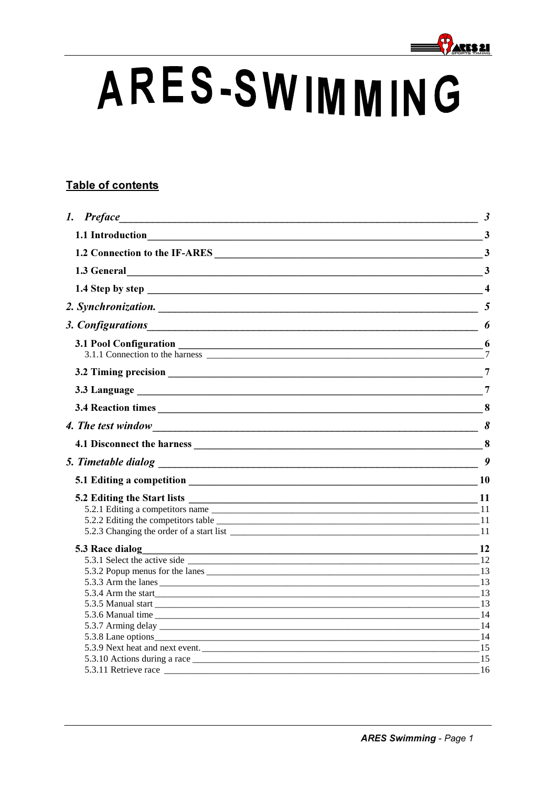

# ARES-SWIMMING

# **Table of contents**

| 1. Preface<br><u> 1989 - Johann Stoff, amerikansk politiker (d. 1989)</u> | $\mathfrak{Z}$   |
|---------------------------------------------------------------------------|------------------|
|                                                                           | $\mathbf{3}$     |
|                                                                           |                  |
|                                                                           |                  |
|                                                                           |                  |
| 2. Synchronization.                                                       | 5                |
| 3. Configurations                                                         | 6                |
|                                                                           |                  |
|                                                                           |                  |
|                                                                           |                  |
|                                                                           |                  |
| 3.4 Reaction times 3.4 Reaction times                                     |                  |
| 4. The test window 8                                                      |                  |
|                                                                           |                  |
|                                                                           | $\boldsymbol{g}$ |
|                                                                           |                  |
| 5.2 Editing the Start lists                                               |                  |
|                                                                           |                  |
|                                                                           |                  |
|                                                                           |                  |
|                                                                           |                  |
|                                                                           |                  |
|                                                                           |                  |
|                                                                           |                  |
|                                                                           |                  |
|                                                                           |                  |
|                                                                           |                  |
|                                                                           |                  |
|                                                                           |                  |
|                                                                           |                  |
|                                                                           | 15               |
| 5.3.11 Retrieve race                                                      | 16               |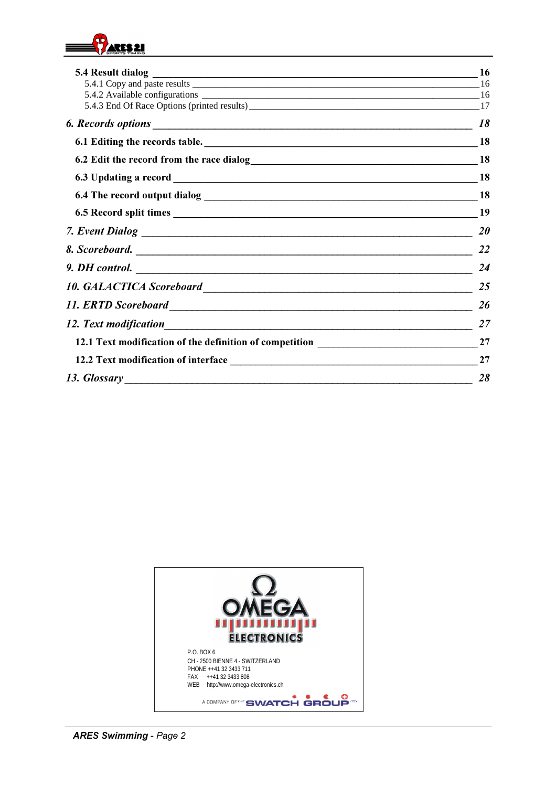

| <b>16</b>                                                                                                                  |
|----------------------------------------------------------------------------------------------------------------------------|
|                                                                                                                            |
|                                                                                                                            |
|                                                                                                                            |
| 18                                                                                                                         |
| 18                                                                                                                         |
| 18                                                                                                                         |
|                                                                                                                            |
|                                                                                                                            |
|                                                                                                                            |
| <b>20</b>                                                                                                                  |
| 22                                                                                                                         |
| 9. DH control.<br>24                                                                                                       |
| 25                                                                                                                         |
| 26                                                                                                                         |
| 27<br><u> 2000 - 2000 - 2000 - 2000 - 2000 - 2000 - 2000 - 2000 - 2000 - 2000 - 2000 - 2000 - 2000 - 2000 - 2000 - 200</u> |
|                                                                                                                            |
| 27                                                                                                                         |
| 28                                                                                                                         |
|                                                                                                                            |

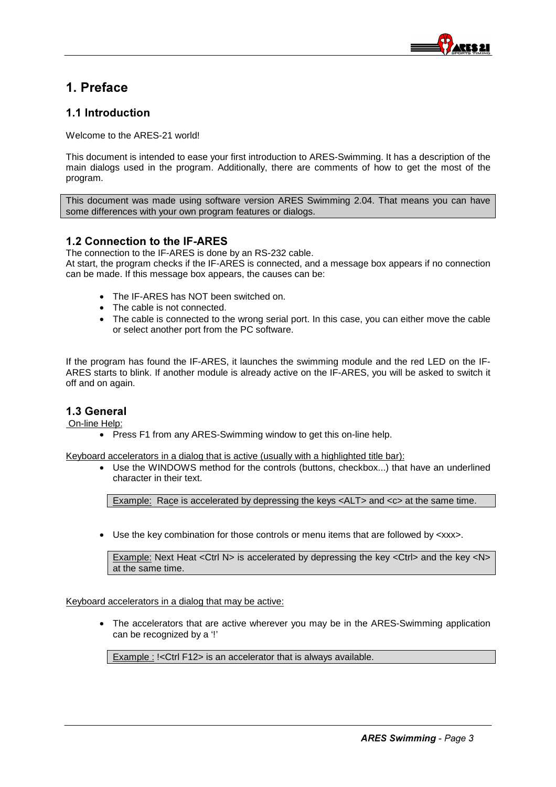

# 1. Preface

# 1.1 Introduction

Welcome to the ARES-21 world!

This document is intended to ease your first introduction to ARES-Swimming. It has a description of the main dialogs used in the program. Additionally, there are comments of how to get the most of the program.

This document was made using software version ARES Swimming 2.04. That means you can have some differences with your own program features or dialogs.

## 1.2 Connection to the IF-ARES

The connection to the IF-ARES is done by an RS-232 cable. At start, the program checks if the IF-ARES is connected, and a message box appears if no connection can be made. If this message box appears, the causes can be:

- The IF-ARES has NOT been switched on.
- The cable is not connected.
- The cable is connected to the wrong serial port. In this case, you can either move the cable or select another port from the PC software.

If the program has found the IF-ARES, it launches the swimming module and the red LED on the IF-ARES starts to blink. If another module is already active on the IF-ARES, you will be asked to switch it off and on again.

# 1.3 General

On-line Help:

• Press F1 from any ARES-Swimming window to get this on-line help.

Keyboard accelerators in a dialog that is active (usually with a highlighted title bar):

• Use the WINDOWS method for the controls (buttons, checkbox...) that have an underlined character in their text.

Example: Race is accelerated by depressing the keys <ALT> and <c> at the same time.

• Use the key combination for those controls or menu items that are followed by <xxx>.

| Example: Next Heat < Ctrl N> is accelerated by depressing the key < Ctrl> and the key < N> |  |
|--------------------------------------------------------------------------------------------|--|
| at the same time.                                                                          |  |

Keyboard accelerators in a dialog that may be active:

• The accelerators that are active wherever you may be in the ARES-Swimming application can be recognized by a '!'

Example : !<Ctrl F12> is an accelerator that is always available.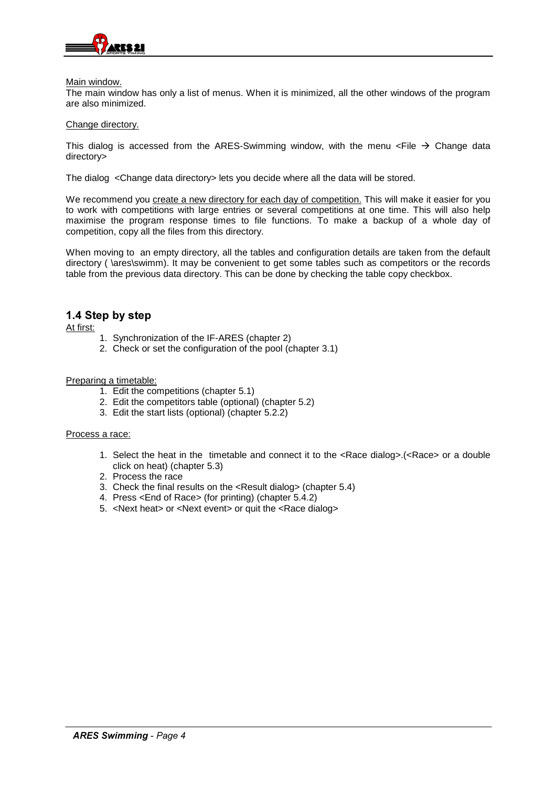

Main window.

The main window has only a list of menus. When it is minimized, all the other windows of the program are also minimized.

#### Change directory.

This dialog is accessed from the ARES-Swimming window, with the menu <File  $\rightarrow$  Change data directory>

The dialog <Change data directory> lets you decide where all the data will be stored.

We recommend you create a new directory for each day of competition. This will make it easier for you to work with competitions with large entries or several competitions at one time. This will also help maximise the program response times to file functions. To make a backup of a whole day of competition, copy all the files from this directory.

When moving to an empty directory, all the tables and configuration details are taken from the default directory ( \ares\swimm). It may be convenient to get some tables such as competitors or the records table from the previous data directory. This can be done by checking the table copy checkbox.

# 1.4 Step by step

At first:

- 1. Synchronization of the IF-ARES (chapter 2)
- 2. Check or set the configuration of the pool (chapter 3.1)

#### Preparing a timetable:

- 1. Edit the competitions (chapter 5.1)
- 2. Edit the competitors table (optional) (chapter 5.2)
- 3. Edit the start lists (optional) (chapter 5.2.2)

#### Process a race:

- 1. Select the heat in the timetable and connect it to the <Race dialog>.(<Race> or a double click on heat) (chapter 5.3)
- 2. Process the race
- 3. Check the final results on the <Result dialog> (chapter 5.4)
- 4. Press <End of Race> (for printing) (chapter 5.4.2)
- 5. <Next heat> or <Next event> or quit the <Race dialog>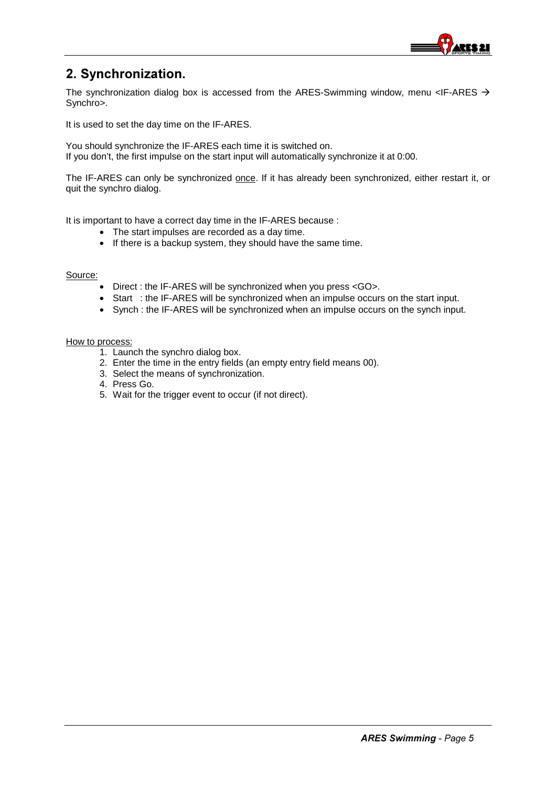

# 2. Synchronization.

The synchronization dialog box is accessed from the ARES-Swimming window, menu <IF-ARES  $\rightarrow$ Synchro>.

It is used to set the day time on the IF-ARES.

You should synchronize the IF-ARES each time it is switched on. If you don't, the first impulse on the start input will automatically synchronize it at 0:00.

The IF-ARES can only be synchronized once. If it has already been synchronized, either restart it, or quit the synchro dialog.

It is important to have a correct day time in the IF-ARES because :

- The start impulses are recorded as a day time.
- If there is a backup system, they should have the same time.

#### Source:

- Direct : the IF-ARES will be synchronized when you press <GO>.
- Start : the IF-ARES will be synchronized when an impulse occurs on the start input.
- Synch : the IF-ARES will be synchronized when an impulse occurs on the synch input.

#### How to process:

- 1. Launch the synchro dialog box.
- 2. Enter the time in the entry fields (an empty entry field means 00).
- 3. Select the means of synchronization.
- 4. Press Go.
- 5. Wait for the trigger event to occur (if not direct).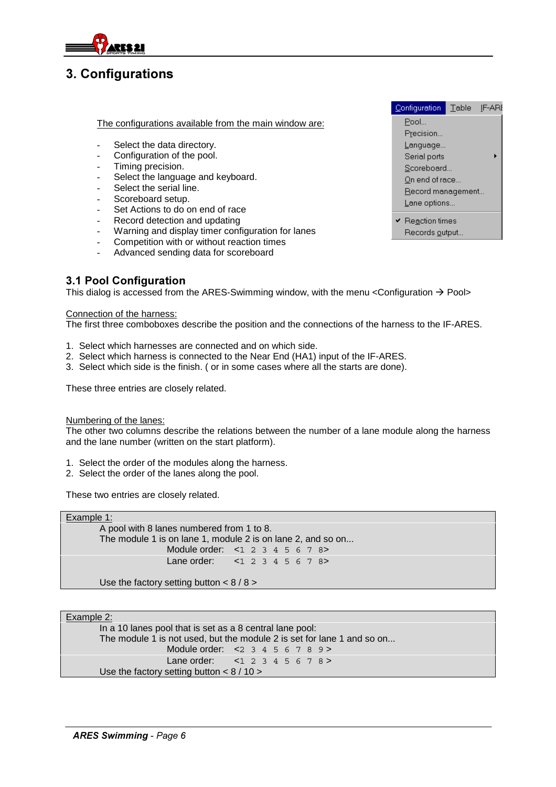

# 3. Configurations

The configurations available from the main window are:

- Select the data directory.
- Configuration of the pool.
- Timing precision.
- Select the language and keyboard.
- Select the serial line.
- Scoreboard setup.
- Set Actions to do on end of race
- Record detection and updating
- Warning and display timer configuration for lanes
- Competition with or without reaction times
- Advanced sending data for scoreboard

## 3.1 Pool Configuration

This dialog is accessed from the ARES-Swimming window, with the menu <Configuration  $\rightarrow$  Pool>

#### Connection of the harness:

The first three comboboxes describe the position and the connections of the harness to the IF-ARES.

- 1. Select which harnesses are connected and on which side.
- 2. Select which harness is connected to the Near End (HA1) input of the IF-ARES.
- 3. Select which side is the finish. ( or in some cases where all the starts are done).

These three entries are closely related.

#### Numbering of the lanes:

The other two columns describe the relations between the number of a lane module along the harness and the lane number (written on the start platform).

- 1. Select the order of the modules along the harness.
- 2. Select the order of the lanes along the pool.

These two entries are closely related.

| Example 1:                                                  |  |  |  |  |  |  |  |  |  |
|-------------------------------------------------------------|--|--|--|--|--|--|--|--|--|
| A pool with 8 lanes numbered from 1 to 8.                   |  |  |  |  |  |  |  |  |  |
| The module 1 is on lane 1, module 2 is on lane 2, and so on |  |  |  |  |  |  |  |  |  |
| Module order: <1 2 3 4 5 6 7 8>                             |  |  |  |  |  |  |  |  |  |
| Lane order: $\lt 1$ 2 3 4 5 6 7 8>                          |  |  |  |  |  |  |  |  |  |
|                                                             |  |  |  |  |  |  |  |  |  |
| Use the factory setting button $< 8 / 8 >$                  |  |  |  |  |  |  |  |  |  |

Example 2: In a 10 lanes pool that is set as a 8 central lane pool: The module 1 is not used, but the module 2 is set for lane 1 and so on... Module order: <2 3 4 5 6 7 8 9 > Lane order:  $\lt 1$  2 3 4 5 6 7 8 > Use the factory setting button  $< 8 / 10$  >



Records output..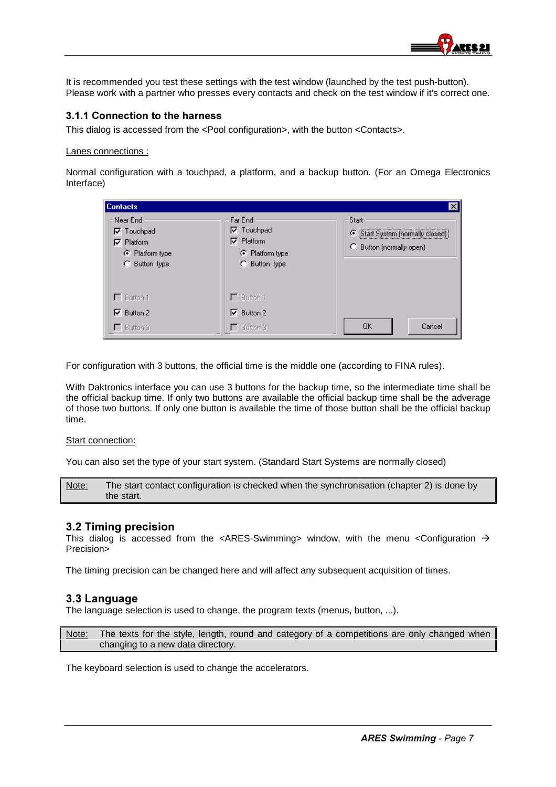

It is recommended you test these settings with the test window (launched by the test push-button). Please work with a partner who presses every contacts and check on the test window if it's correct one.

#### 3.1.1 Connection to the harness

This dialog is accessed from the <Pool configuration>, with the button <Contacts>.

#### Lanes connections :

Normal configuration with a touchpad, a platform, and a backup button. (For an Omega Electronics Interface)

| <b>Contacts</b>                                                                       |                                                                                      | $\vert x \vert$                                                           |
|---------------------------------------------------------------------------------------|--------------------------------------------------------------------------------------|---------------------------------------------------------------------------|
| Near End<br>Touchpad<br>⊽<br>$\nabla$ Platform<br>C Platform type<br>Button type<br>n | Far End<br>$\nabla$ Touchpad<br>Platform<br>1∽<br>Platform type<br>G.<br>Button type | Start<br>. Start System (normally closed)<br>O.<br>Button (normally open) |
| $\Box$ Button 1                                                                       | $\Box$ Button 1                                                                      |                                                                           |
| $\nabla$ Button 2<br>$\Gamma$ Button 3                                                | ⊽<br>Button 2<br>$\overline{\phantom{a}}$ Button 3                                   | 0K<br>Cancel                                                              |

For configuration with 3 buttons, the official time is the middle one (according to FINA rules).

With Daktronics interface you can use 3 buttons for the backup time, so the intermediate time shall be the official backup time. If only two buttons are available the official backup time shall be the adverage of those two buttons. If only one button is available the time of those button shall be the official backup time.

#### Start connection:

You can also set the type of your start system. (Standard Start Systems are normally closed)

| Note: | The start contact configuration is checked when the synchronisation (chapter 2) is done by |
|-------|--------------------------------------------------------------------------------------------|
|       | the start.                                                                                 |

#### **3.2 Timing precision**

This dialog is accessed from the <ARES-Swimming> window, with the menu <Configuration  $\rightarrow$ Precision>

The timing precision can be changed here and will affect any subsequent acquisition of times.

#### 3.3 Language

The language selection is used to change, the program texts (menus, button, ...).

Note: The texts for the style, length, round and category of a competitions are only changed when changing to a new data directory.

The keyboard selection is used to change the accelerators.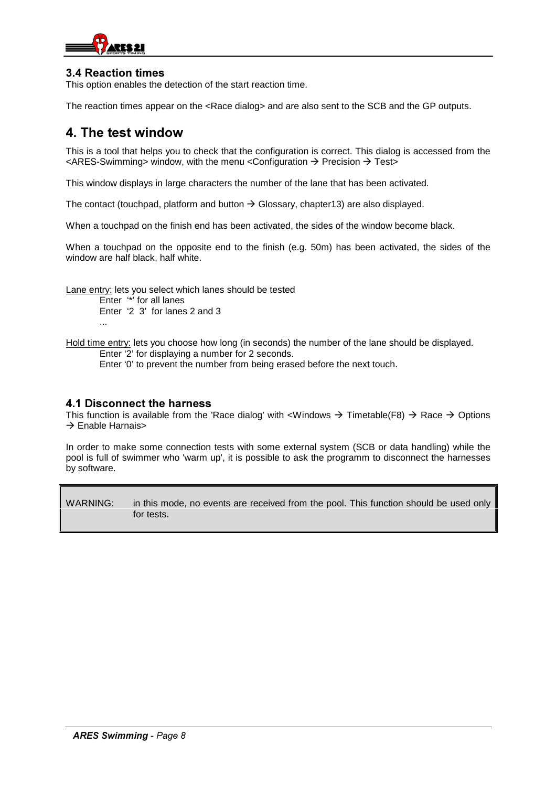

## 3.4 Reaction times

This option enables the detection of the start reaction time.

The reaction times appear on the <Race dialog> and are also sent to the SCB and the GP outputs.

# 4. The test window

This is a tool that helps you to check that the configuration is correct. This dialog is accessed from the  $\leq$ ARES-Swimming> window, with the menu  $\leq$ Configuration  $\rightarrow$  Precision  $\rightarrow$  Test>

This window displays in large characters the number of the lane that has been activated.

The contact (touchpad, platform and button  $\rightarrow$  Glossary, chapter13) are also displayed.

When a touchpad on the finish end has been activated, the sides of the window become black.

When a touchpad on the opposite end to the finish (e.g. 50m) has been activated, the sides of the window are half black, half white.

Lane entry: lets you select which lanes should be tested

Enter "\*' for all lanes

Enter '2 3' for lanes 2 and 3 ...

Hold time entry: lets you choose how long (in seconds) the number of the lane should be displayed. Enter '2' for displaying a number for 2 seconds.

Enter '0' to prevent the number from being erased before the next touch.

## 4.1 Disconnect the harness

This function is available from the 'Race dialog' with <Windows  $\rightarrow$  Timetable(F8)  $\rightarrow$  Race  $\rightarrow$  Options  $\rightarrow$  Enable Harnais>

In order to make some connection tests with some external system (SCB or data handling) while the pool is full of swimmer who 'warm up', it is possible to ask the programm to disconnect the harnesses by software.

WARNING: in this mode, no events are received from the pool. This function should be used only for tests.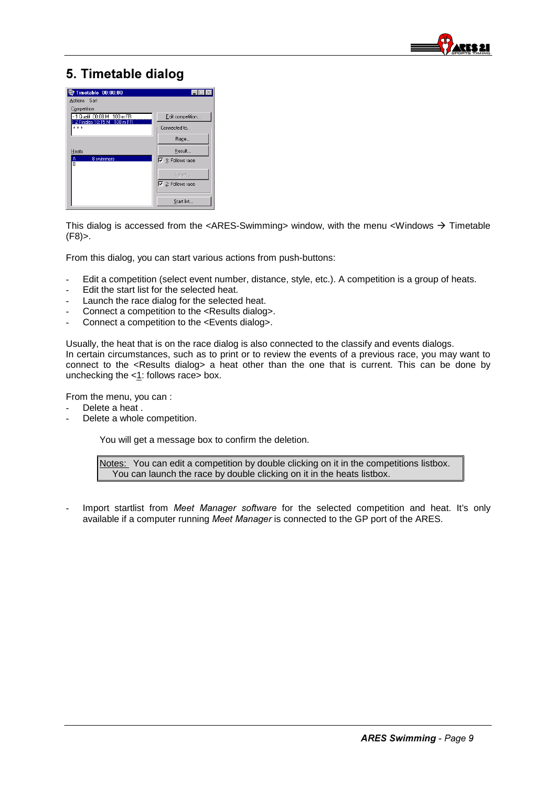

# 5. Timetable dialog



This dialog is accessed from the <ARES-Swimming> window, with the menu <Windows  $\rightarrow$  Timetable (F8)>.

From this dialog, you can start various actions from push-buttons:

- Edit a competition (select event number, distance, style, etc.). A competition is a group of heats.
- Edit the start list for the selected heat.
- Launch the race dialog for the selected heat.
- Connect a competition to the <Results dialog>.
- Connect a competition to the <Events dialog>.

Usually, the heat that is on the race dialog is also connected to the classify and events dialogs. In certain circumstances, such as to print or to review the events of a previous race, you may want to connect to the <Results dialog> a heat other than the one that is current. This can be done by unchecking the <1: follows race> box.

From the menu, you can :

- Delete a heat.
- Delete a whole competition.

You will get a message box to confirm the deletion.

Notes: You can edit a competition by double clicking on it in the competitions listbox. You can launch the race by double clicking on it in the heats listbox.

Import startlist from *Meet Manager software* for the selected competition and heat. It's only available if a computer running *Meet Manager* is connected to the GP port of the ARES.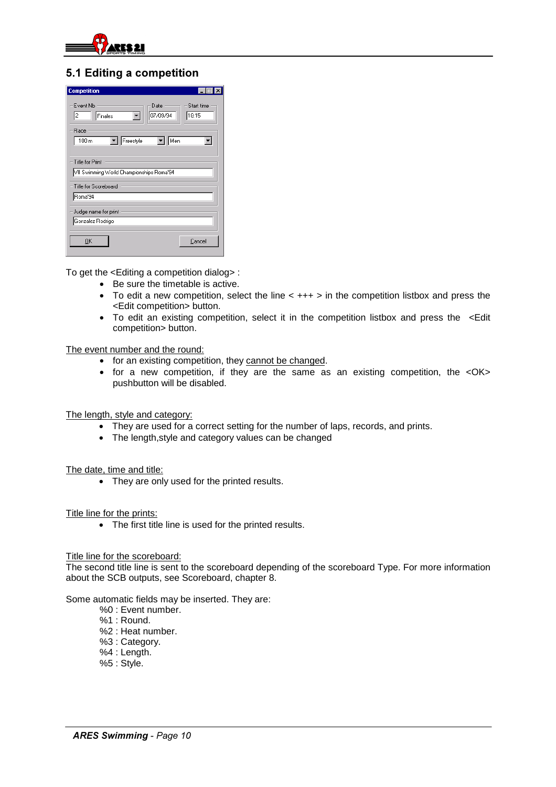

# 5.1 Editing a competition

| <b>Competition</b>                                                  |
|---------------------------------------------------------------------|
| Start time<br>Event Nb<br>Date<br>07/09/94<br>18:15<br>2<br>Finales |
| Race<br>▼ Freestyle<br>Men<br>100 <sub>m</sub>                      |
| <b>Title for Print</b>                                              |
| VII Swimming World Championships Roma'94                            |
| Title for Scoreboard                                                |
| Roma'94                                                             |
| Judge name for print                                                |
| Gonzalez Rodrigo                                                    |
| Cancel<br>OΚ                                                        |

To get the <Editing a competition dialog> :

- Be sure the timetable is active.
- To edit a new competition, select the line  $\lt$  +++  $>$  in the competition listbox and press the <Edit competition> button.
- To edit an existing competition, select it in the competition listbox and press the <Edit competition> button.

#### The event number and the round:

- for an existing competition, they cannot be changed.
- for a new competition, if they are the same as an existing competition, the  $\langle OK \rangle$ pushbutton will be disabled.

#### The length, style and category:

- They are used for a correct setting for the number of laps, records, and prints.
- The length,style and category values can be changed

#### The date, time and title:

• They are only used for the printed results.

#### Title line for the prints:

• The first title line is used for the printed results.

#### Title line for the scoreboard:

The second title line is sent to the scoreboard depending of the scoreboard Type. For more information about the SCB outputs, see Scoreboard, chapter 8.

#### Some automatic fields may be inserted. They are:

- %0 : Event number.
- %1 : Round.
- %2 : Heat number.
- %3 : Category.
- %4 : Length.
- %5 : Style.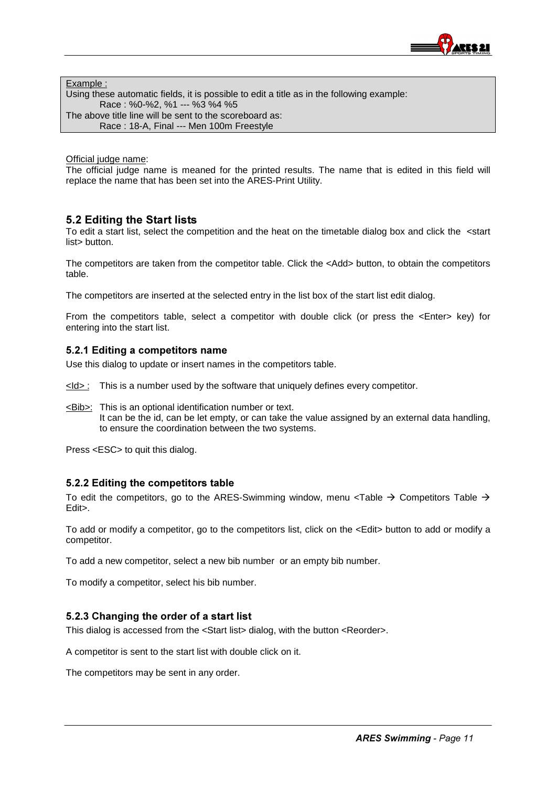

Example : Using these automatic fields, it is possible to edit a title as in the following example: Race : %0-%2, %1 --- %3 %4 %5 The above title line will be sent to the scoreboard as: Race : 18-A, Final --- Men 100m Freestyle

Official judge name:

The official judge name is meaned for the printed results. The name that is edited in this field will replace the name that has been set into the ARES-Print Utility.

#### 5.2 Editing the Start lists

To edit a start list, select the competition and the heat on the timetable dialog box and click the <start list> button.

The competitors are taken from the competitor table. Click the <Add> button, to obtain the competitors table.

The competitors are inserted at the selected entry in the list box of the start list edit dialog.

From the competitors table, select a competitor with double click (or press the <Enter> key) for entering into the start list.

#### 5.2.1 Editing a competitors name

Use this dialog to update or insert names in the competitors table.

- $\langle d \rangle$ : This is a number used by the software that uniquely defines every competitor.
- <Bib>: This is an optional identification number or text. It can be the id, can be let empty, or can take the value assigned by an external data handling, to ensure the coordination between the two systems.

Press <ESC> to quit this dialog.

#### 5.2.2 Editing the competitors table

To edit the competitors, go to the ARES-Swimming window, menu <Table  $\rightarrow$  Competitors Table  $\rightarrow$ Edit>.

To add or modify a competitor, go to the competitors list, click on the <Edit> button to add or modify a competitor.

To add a new competitor, select a new bib number or an empty bib number.

To modify a competitor, select his bib number.

#### 5.2.3 Changing the order of a start list

This dialog is accessed from the <Start list> dialog, with the button <Reorder>.

A competitor is sent to the start list with double click on it.

The competitors may be sent in any order.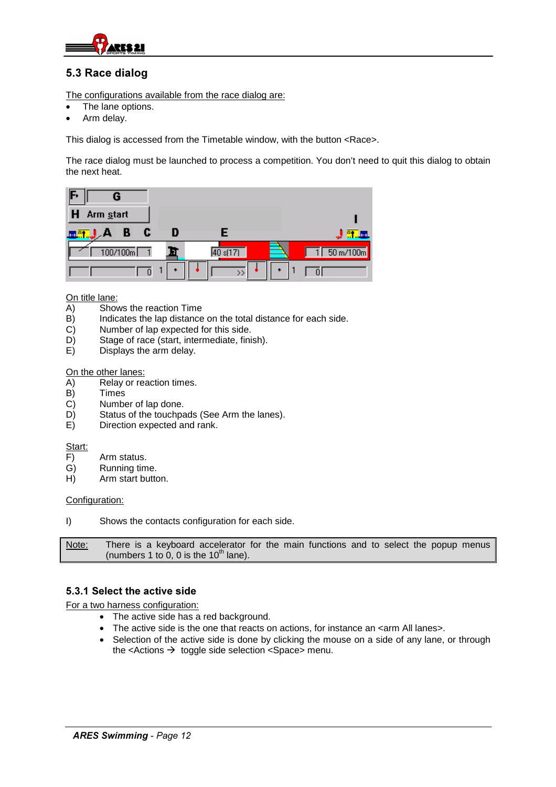

# 5.3 Race dialog

The configurations available from the race dialog are:

- The lane options.
- Arm delay.

This dialog is accessed from the Timetable window, with the button <Race>.

The race dialog must be launched to process a competition. You don't need to quit this dialog to obtain the next heat.

| H Arm start  |   |               |                      |
|--------------|---|---------------|----------------------|
| B C<br>П. 1. | n |               | a <mark>Ma</mark> pe |
| 100/100m     |   | 40 s(17)      | 50 m/100m            |
|              |   | $\rightarrow$ |                      |

#### On title lane:

- A) Shows the reaction Time
- B) Indicates the lap distance on the total distance for each side.
- C) Number of lap expected for this side.
- D) Stage of race (start, intermediate, finish).
- E) Displays the arm delay.

#### On the other lanes:

- A) Relay or reaction times.
- B) Times
- C) Number of lap done.<br>D) Status of the touchpa
- D) Status of the touchpads (See Arm the lanes).<br>E) Direction expected and rank.
- Direction expected and rank.

#### Start:

- $\overline{F}$  Arm status.<br>G) Running tim
- Running time.
- H) Arm start button.

#### Configuration:

I) Shows the contacts configuration for each side.

Note: There is a keyboard accelerator for the main functions and to select the popup menus (numbers 1 to 0, 0 is the  $10<sup>th</sup>$  lane).

# 5.3.1 Select the active side

For a two harness configuration:

- The active side has a red background.
- The active side is the one that reacts on actions, for instance an <arm All lanes>.
- Selection of the active side is done by clicking the mouse on a side of any lane, or through the <Actions  $\rightarrow$  toggle side selection <Space> menu.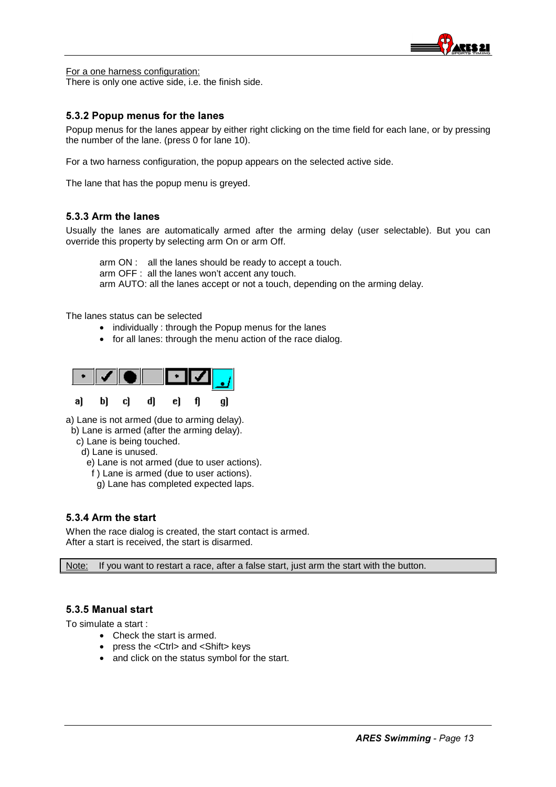

For a one harness configuration:

There is only one active side, i.e. the finish side.

## 5.3.2 Popup menus for the lanes

Popup menus for the lanes appear by either right clicking on the time field for each lane, or by pressing the number of the lane. (press 0 for lane 10).

For a two harness configuration, the popup appears on the selected active side.

The lane that has the popup menu is greyed.

### 5.3.3 Arm the lanes

Usually the lanes are automatically armed after the arming delay (user selectable). But you can override this property by selecting arm On or arm Off.

arm ON : all the lanes should be ready to accept a touch. arm OFF : all the lanes won't accent any touch. arm AUTO: all the lanes accept or not a touch, depending on the arming delay.

The lanes status can be selected

- individually : through the Popup menus for the lanes
- for all lanes: through the menu action of the race dialog.



a) Lane is not armed (due to arming delay).

- b) Lane is armed (after the arming delay).
	- c) Lane is being touched.
	- d) Lane is unused.
		- e) Lane is not armed (due to user actions).
		- f ) Lane is armed (due to user actions).
		- g) Lane has completed expected laps.

#### 5.3.4 Arm the start

When the race dialog is created, the start contact is armed. After a start is received, the start is disarmed.

Note: If you want to restart a race, after a false start, just arm the start with the button.

## 5.3.5 Manual start

To simulate a start :

- Check the start is armed.
- press the <Ctrl> and <Shift> keys
- and click on the status symbol for the start.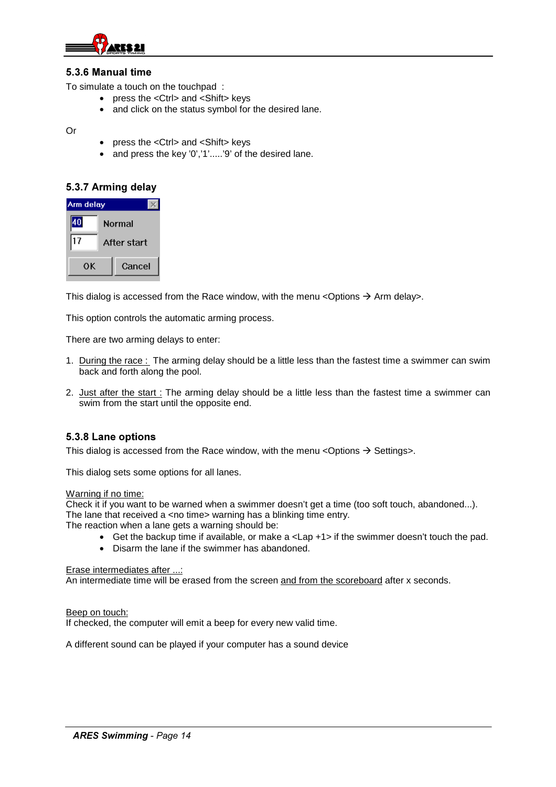

## 5.3.6 Manual time

To simulate a touch on the touchpad :

- press the <Ctrl> and <Shift> keys
- and click on the status symbol for the desired lane.

#### Or

- press the <Ctrl> and <Shift> keys
- and press the key '0','1'.....'9' of the desired lane.

### 5.3.7 Arming delay

| Arm delay               |             |               |  |  |  |  |
|-------------------------|-------------|---------------|--|--|--|--|
| $\overline{\mathbf{0}}$ |             | <b>Normal</b> |  |  |  |  |
| 17                      | After start |               |  |  |  |  |
| oк                      |             | Cancel        |  |  |  |  |

This dialog is accessed from the Race window, with the menu < Options  $\rightarrow$  Arm delay>.

This option controls the automatic arming process.

There are two arming delays to enter:

- 1. During the race : The arming delay should be a little less than the fastest time a swimmer can swim back and forth along the pool.
- 2. Just after the start : The arming delay should be a little less than the fastest time a swimmer can swim from the start until the opposite end.

#### 5.3.8 Lane options

This dialog is accessed from the Race window, with the menu < Options  $\rightarrow$  Settings>.

This dialog sets some options for all lanes.

#### Warning if no time:

Check it if you want to be warned when a swimmer doesn't get a time (too soft touch, abandoned...). The lane that received a <no time> warning has a blinking time entry.

The reaction when a lane gets a warning should be:

- Get the backup time if available, or make a <Lap +1> if the swimmer doesn't touch the pad.
- Disarm the lane if the swimmer has abandoned.

#### Erase intermediates after ...:

An intermediate time will be erased from the screen and from the scoreboard after x seconds.

Beep on touch:

If checked, the computer will emit a beep for every new valid time.

A different sound can be played if your computer has a sound device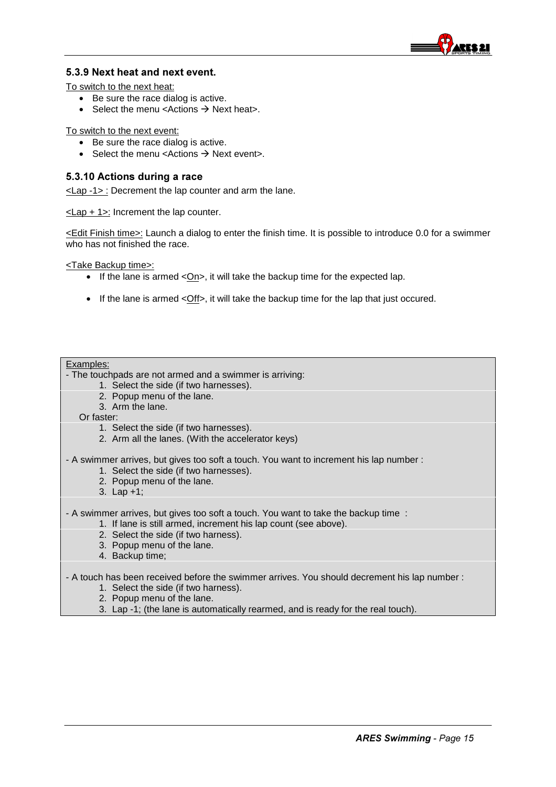

## 5.3.9 Next heat and next event.

To switch to the next heat:

- Be sure the race dialog is active.
- Select the menu <Actions  $\rightarrow$  Next heat>.

To switch to the next event:

- Be sure the race dialog is active.
- Select the menu <Actions  $\rightarrow$  Next event>.

#### 5.3.10 Actions during a race

<Lap -1> : Decrement the lap counter and arm the lane.

<Lap + 1>: Increment the lap counter.

<Edit Finish time>: Launch a dialog to enter the finish time. It is possible to introduce 0.0 for a swimmer who has not finished the race.

<Take Backup time>:

- If the lane is armed <On>, it will take the backup time for the expected lap.
- $\bullet$  If the lane is armed  $\leq$ Off $\geq$ , it will take the backup time for the lap that just occured.

#### Examples:

- The touchpads are not armed and a swimmer is arriving:

- 1. Select the side (if two harnesses).
- 2. Popup menu of the lane.
- 3. Arm the lane.

Or faster:

- 1. Select the side (if two harnesses).
- 2. Arm all the lanes. (With the accelerator keys)

- A swimmer arrives, but gives too soft a touch. You want to increment his lap number :

- 1. Select the side (if two harnesses).
- 2. Popup menu of the lane.
- 3. Lap +1;
- A swimmer arrives, but gives too soft a touch. You want to take the backup time :
	- 1. If lane is still armed, increment his lap count (see above).
	- 2. Select the side (if two harness).
	- 3. Popup menu of the lane.
	- 4. Backup time;
- A touch has been received before the swimmer arrives. You should decrement his lap number :
	- 1. Select the side (if two harness).
	- 2. Popup menu of the lane.
	- 3. Lap -1; (the lane is automatically rearmed, and is ready for the real touch).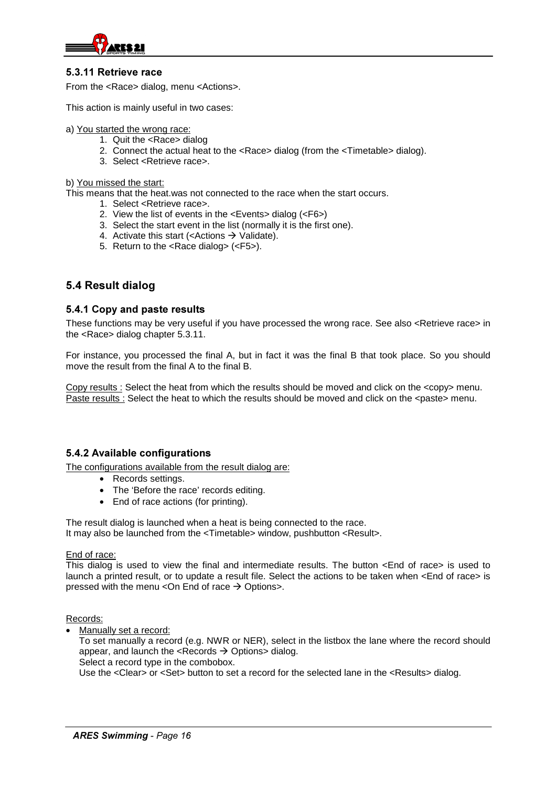

### 5.3.11 Retrieve race

From the <Race> dialog, menu <Actions>.

This action is mainly useful in two cases:

a) You started the wrong race:

- 1. Quit the <Race> dialog
- 2. Connect the actual heat to the <Race> dialog (from the <Timetable> dialog).
- 3. Select <Retrieve race>.

b) You missed the start:

This means that the heat.was not connected to the race when the start occurs.

- 1. Select <Retrieve race>.
- 2. View the list of events in the <Events> dialog (<F6>)
- 3. Select the start event in the list (normally it is the first one).
- 4. Activate this start (<Actions  $\rightarrow$  Validate).
- 5. Return to the <Race dialog> (<F5>).

# 5.4 Result dialog

#### 5.4.1 Copy and paste results

These functions may be very useful if you have processed the wrong race. See also <Retrieve race> in the <Race> dialog chapter 5.3.11.

For instance, you processed the final A, but in fact it was the final B that took place. So you should move the result from the final A to the final B.

Copy results : Select the heat from which the results should be moved and click on the <copy> menu. Paste results : Select the heat to which the results should be moved and click on the <paste> menu.

## 5.4.2 Available configurations

The configurations available from the result dialog are:

- Records settings.
- The 'Before the race' records editing.
- End of race actions (for printing).

The result dialog is launched when a heat is being connected to the race. It may also be launched from the <Timetable> window, pushbutton <Result>.

End of race:

This dialog is used to view the final and intermediate results. The button <End of race> is used to launch a printed result, or to update a result file. Select the actions to be taken when <End of race> is pressed with the menu < On End of race  $\rightarrow$  Options>.

Records:

Manually set a record:

To set manually a record (e.g. NWR or NER), select in the listbox the lane where the record should appear, and launch the  $\leq$ Records  $\rightarrow$  Options is dialog.

Select a record type in the combobox.

Use the <Clear> or <Set> button to set a record for the selected lane in the <Results> dialog.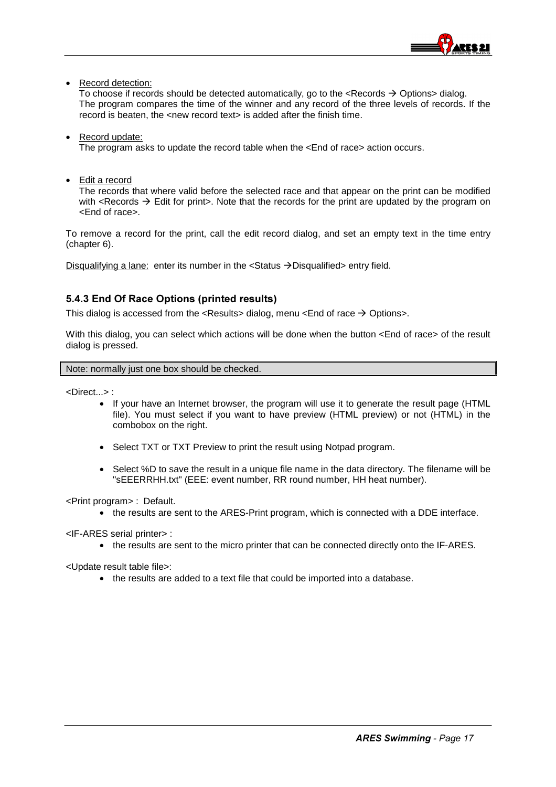

• Record detection:

To choose if records should be detected automatically, go to the <Records  $\rightarrow$  Options> dialog. The program compares the time of the winner and any record of the three levels of records. If the record is beaten, the <new record text> is added after the finish time.

Record update:

The program asks to update the record table when the <End of race> action occurs.

• Edit a record

The records that where valid before the selected race and that appear on the print can be modified with  $\leq$  Records  $\Rightarrow$  Edit for print>. Note that the records for the print are updated by the program on <End of race>.

To remove a record for the print, call the edit record dialog, and set an empty text in the time entry (chapter 6).

Disqualifying a lane: enter its number in the  $\leq$ Status  $\rightarrow$ Disqualified> entry field.

## 5.4.3 End Of Race Options (printed results)

This dialog is accessed from the <Results> dialog, menu <End of race  $\rightarrow$  Options>.

With this dialog, you can select which actions will be done when the button <End of race> of the result dialog is pressed.

#### Note: normally just one box should be checked.

<Direct...> :

- If your have an Internet browser, the program will use it to generate the result page (HTML) file). You must select if you want to have preview (HTML preview) or not (HTML) in the combobox on the right.
- Select TXT or TXT Preview to print the result using Notpad program.
- Select %D to save the result in a unique file name in the data directory. The filename will be "sEEERRHH.txt" (EEE: event number, RR round number, HH heat number).

<Print program> : Default.

• the results are sent to the ARES-Print program, which is connected with a DDE interface.

<IF-ARES serial printer> :

• the results are sent to the micro printer that can be connected directly onto the IF-ARES.

<Update result table file>:

• the results are added to a text file that could be imported into a database.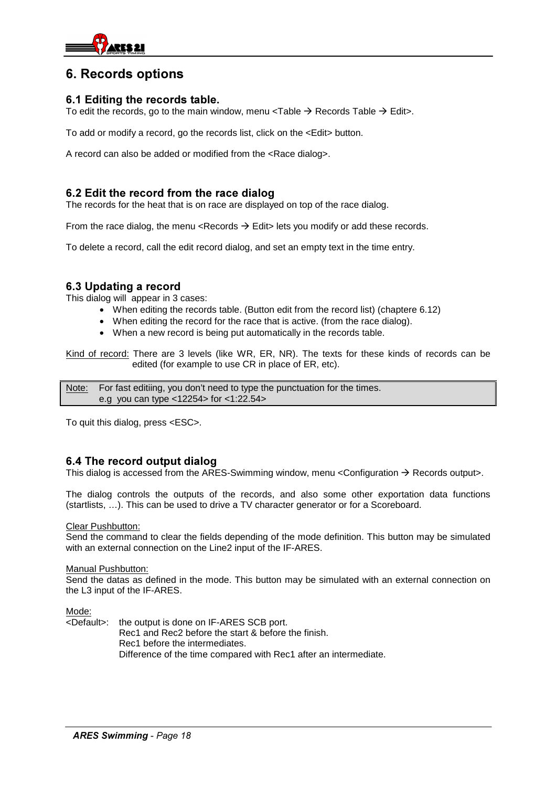

# 6. Records options

# 6.1 Editing the records table.

To edit the records, go to the main window, menu <Table  $\rightarrow$  Records Table  $\rightarrow$  Edit>.

To add or modify a record, go the records list, click on the <Edit> button.

A record can also be added or modified from the <Race dialog>.

## 6.2 Edit the record from the race dialog

The records for the heat that is on race are displayed on top of the race dialog.

From the race dialog, the menu <Records  $\rightarrow$  Edit> lets you modify or add these records.

To delete a record, call the edit record dialog, and set an empty text in the time entry.

## 6.3 Updating a record

This dialog will appear in 3 cases:

- When editing the records table. (Button edit from the record list) (chaptere 6.12)
- When editing the record for the race that is active. (from the race dialog).
- When a new record is being put automatically in the records table.

Kind of record: There are 3 levels (like WR, ER, NR). The texts for these kinds of records can be edited (for example to use CR in place of ER, etc).

Note: For fast editiing, you don't need to type the punctuation for the times. e.g you can type <12254> for <1:22.54>

To quit this dialog, press <ESC>.

## 6.4 The record output dialog

This dialog is accessed from the ARES-Swimming window, menu <Configuration  $\rightarrow$  Records output>.

The dialog controls the outputs of the records, and also some other exportation data functions (startlists, …). This can be used to drive a TV character generator or for a Scoreboard.

#### Clear Pushbutton:

Send the command to clear the fields depending of the mode definition. This button may be simulated with an external connection on the Line2 input of the IF-ARES.

#### Manual Pushbutton:

Send the datas as defined in the mode. This button may be simulated with an external connection on the L3 input of the IF-ARES.

Mode:

<Default>: the output is done on IF-ARES SCB port. Rec1 and Rec2 before the start & before the finish. Rec1 before the intermediates. Difference of the time compared with Rec1 after an intermediate.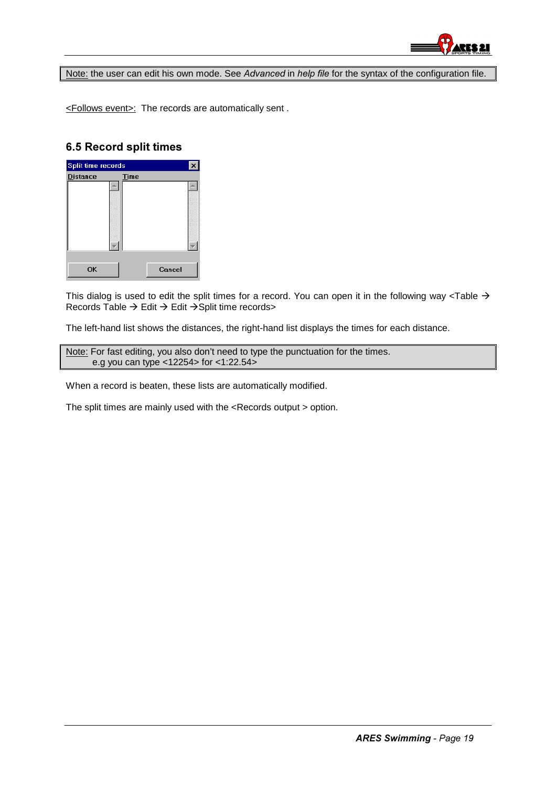

Note: the user can edit his own mode. See *Advanced* in help file for the syntax of the configuration file.

<Follows event>: The records are automatically sent .

# 6.5 Record split times

| Split time records |      |        |  |
|--------------------|------|--------|--|
| <b>Distance</b>    | Time |        |  |
|                    |      |        |  |
|                    |      |        |  |
|                    |      |        |  |
|                    |      |        |  |
|                    |      |        |  |
|                    |      |        |  |
|                    |      |        |  |
|                    |      |        |  |
| OK                 |      | Cancel |  |

This dialog is used to edit the split times for a record. You can open it in the following way <Table  $\rightarrow$ Records Table  $\rightarrow$  Edit  $\rightarrow$  Edit  $\rightarrow$  Split time records>

The left-hand list shows the distances, the right-hand list displays the times for each distance.

Note: For fast editing, you also don't need to type the punctuation for the times. e.g you can type <12254> for <1:22.54>

When a record is beaten, these lists are automatically modified.

The split times are mainly used with the <Records output > option.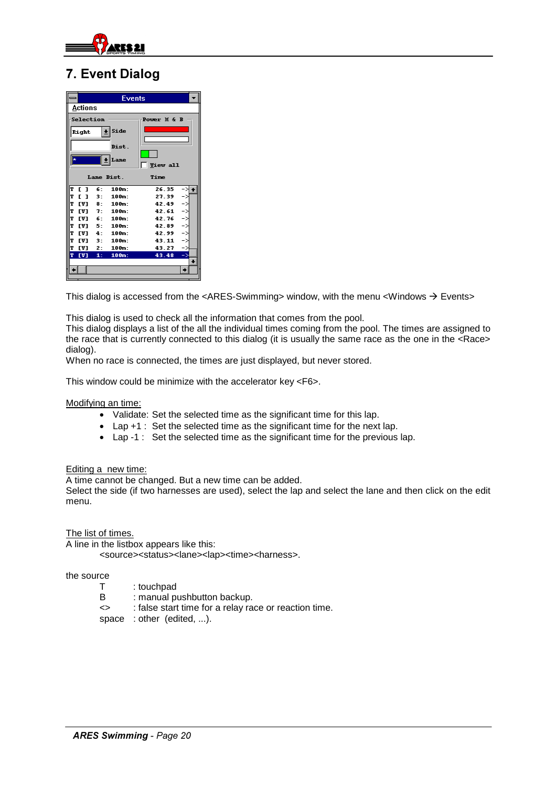

# 7. Event Dialog

|         |                                                    |       |            | <b>Events</b> |                                                                                                                                                                      |  |  |  |  |
|---------|----------------------------------------------------|-------|------------|---------------|----------------------------------------------------------------------------------------------------------------------------------------------------------------------|--|--|--|--|
| Actions |                                                    |       |            |               |                                                                                                                                                                      |  |  |  |  |
|         | Selection                                          |       |            | Power M & B   |                                                                                                                                                                      |  |  |  |  |
|         | $\vert \underline{\textbf{t}} \vert$ Side<br>Right |       |            |               |                                                                                                                                                                      |  |  |  |  |
|         |                                                    |       |            |               |                                                                                                                                                                      |  |  |  |  |
|         |                                                    |       | Dist.      |               |                                                                                                                                                                      |  |  |  |  |
|         |                                                    |       | Lane       | View all      |                                                                                                                                                                      |  |  |  |  |
|         |                                                    |       | Lane Dist. | Time          |                                                                                                                                                                      |  |  |  |  |
|         |                                                    |       |            |               |                                                                                                                                                                      |  |  |  |  |
| т       | r 1                                                | 6:    | 100m:      | 26.35         | ->⊦                                                                                                                                                                  |  |  |  |  |
| т       | E I                                                | 3:    | $100m$ :   | 27.39         | ->                                                                                                                                                                   |  |  |  |  |
| T       | <b>TV1</b>                                         | 8:    | $100m$ :   | 42.49         |                                                                                                                                                                      |  |  |  |  |
| т       | [V]                                                | $-7:$ | $100m$ :   | 42.61         |                                                                                                                                                                      |  |  |  |  |
| т       | [V]                                                | - 6:  | $100m$ :   | 42.76         |                                                                                                                                                                      |  |  |  |  |
| т       | LAJ.                                               | - 5:  | $100m$ :   | 42.89         | $\begin{array}{ccc} & \rightarrow & \rightarrow & \rightarrow \\ & \rightarrow & \rightarrow & \rightarrow \\ & \rightarrow & \rightarrow & \rightarrow \end{array}$ |  |  |  |  |
| т       | EV1                                                | $-4:$ | $100m$ :   | 42.99         |                                                                                                                                                                      |  |  |  |  |
| т       | [V]                                                | 3:    | 100m:      | 43.11         | $\frac{-}{2}$                                                                                                                                                        |  |  |  |  |
| T       | [V]                                                | 2:    | $100m$ :   | 43.27         |                                                                                                                                                                      |  |  |  |  |
| Ŧ       | [V]                                                | 1:    | $100m$ :   | 43.48         | -5                                                                                                                                                                   |  |  |  |  |
|         |                                                    |       |            |               |                                                                                                                                                                      |  |  |  |  |
|         |                                                    |       |            |               |                                                                                                                                                                      |  |  |  |  |
|         |                                                    |       |            |               |                                                                                                                                                                      |  |  |  |  |

This dialog is accessed from the  $\leq$ ARES-Swimming> window, with the menu  $\leq$ Windows  $\rightarrow$  Events>

This dialog is used to check all the information that comes from the pool.

This dialog displays a list of the all the individual times coming from the pool. The times are assigned to the race that is currently connected to this dialog (it is usually the same race as the one in the <Race> dialog).

When no race is connected, the times are just displayed, but never stored.

This window could be minimize with the accelerator key <F6>.

#### Modifying an time:

- Validate: Set the selected time as the significant time for this lap.
- Lap +1 : Set the selected time as the significant time for the next lap.
- Lap -1 : Set the selected time as the significant time for the previous lap.

#### Editing a new time:

A time cannot be changed. But a new time can be added.

Select the side (if two harnesses are used), select the lap and select the lane and then click on the edit menu.

#### The list of times.

A line in the listbox appears like this: <source><status><lane><lap><time><harness>.

#### the source

- T : touchpad B : manual pushbutton backup.
- <> : false start time for a relay race or reaction time.
- space : other (edited, ...).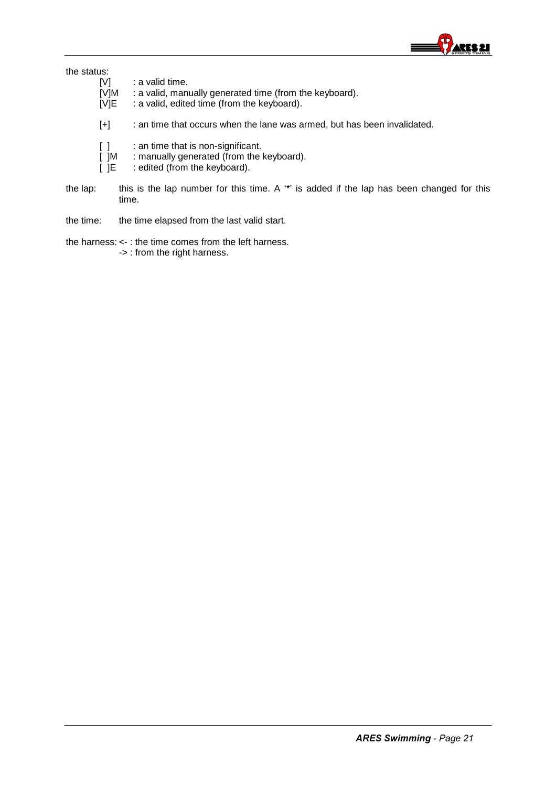

the status:

- [V] : a valid time.<br>[V]M : a valid, mani
- $[V]$ M : a valid, manually generated time (from the keyboard).<br>[V]E : a valid, edited time (from the keyboard).
- : a valid, edited time (from the keyboard).
- [+] : an time that occurs when the lane was armed, but has been invalidated.
- [ ] : an time that is non-significant.<br>
[ ]M : manually generated (from the l<br>
[ ]E : edited (from the keyboard).
- : manually generated (from the keyboard).
- $\therefore$  edited (from the keyboard).

the lap: this is the lap number for this time. A "\*" is added if the lap has been changed for this time.

the time: the time elapsed from the last valid start.

the harness: <- : the time comes from the left harness. -> : from the right harness.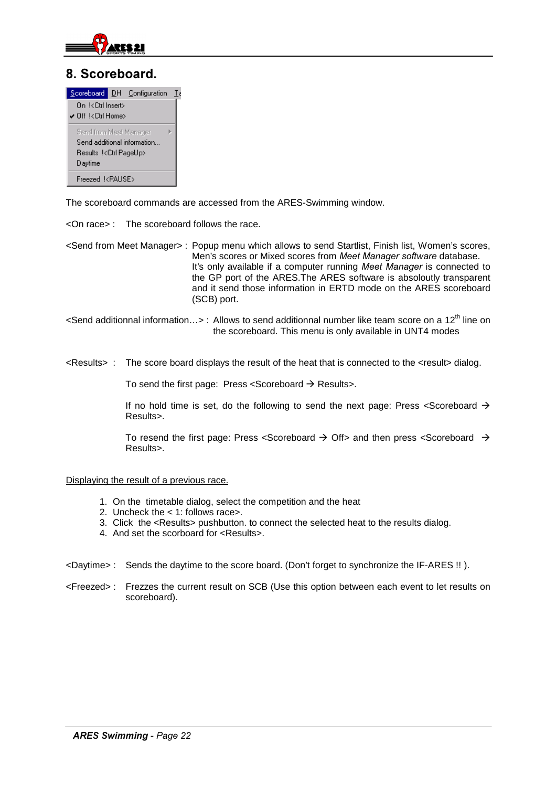

# 8. Scoreboard.

|                               |  | Scoreboard DH Configuration | Ιċ |  |  |  |  |
|-------------------------------|--|-----------------------------|----|--|--|--|--|
| On I⊲Ctrl Insert>             |  |                             |    |  |  |  |  |
| ✔ Off I <ctrl home=""></ctrl> |  |                             |    |  |  |  |  |
| Send from Meet Manager        |  |                             |    |  |  |  |  |
| Send additional information   |  |                             |    |  |  |  |  |
| Results !< Ctrl PageUp>       |  |                             |    |  |  |  |  |
| Davtime                       |  |                             |    |  |  |  |  |
| Freezed KPAUSE>               |  |                             |    |  |  |  |  |

The scoreboard commands are accessed from the ARES-Swimming window.

<On race> : The scoreboard follows the race.

<Send from Meet Manager> : Popup menu which allows to send Startlist, Finish list, Women's scores, Men's scores or Mixed scores from *Meet Manager software* database. It's only available if a computer running *Meet Manager* is connected to the GP port of the ARES.The ARES software is absoloutly transparent and it send those information in ERTD mode on the ARES scoreboard (SCB) port.

 $\le$ Send additionnal information... $>$  : Allows to send additionnal number like team score on a 12<sup>th</sup> line on the scoreboard. This menu is only available in UNT4 modes

<Results> : The score board displays the result of the heat that is connected to the <result> dialog.

To send the first page: Press <Scoreboard  $\rightarrow$  Results>.

If no hold time is set, do the following to send the next page: Press <Scoreboard  $\rightarrow$ Results>.

To resend the first page: Press <Scoreboard  $\rightarrow$  Off> and then press <Scoreboard  $\rightarrow$ Results>.

#### Displaying the result of a previous race.

- 1. On the timetable dialog, select the competition and the heat
- 2. Uncheck the < 1: follows race>.
- 3. Click the <Results> pushbutton. to connect the selected heat to the results dialog.
- 4. And set the scorboard for <Results>.
- <Daytime> : Sends the daytime to the score board. (Don't forget to synchronize the IF-ARES !! ).
- <Freezed> : Frezzes the current result on SCB (Use this option between each event to let results on scoreboard).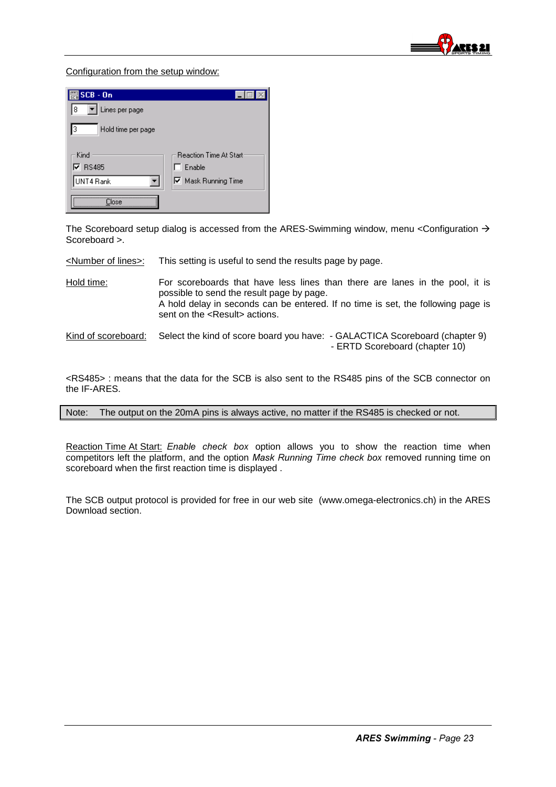

#### Configuration from the setup window:

| $SCB - On$               |                               |
|--------------------------|-------------------------------|
| l8<br>Lines per page     |                               |
| 13<br>Hold time per page |                               |
|                          |                               |
| Kind                     | <b>Reaction Time At Start</b> |
| $\nabla$ RS485           | Enable                        |
| UNT4 Rank                | Mask Running Time             |
| OSA.                     |                               |

The Scoreboard setup dialog is accessed from the ARES-Swimming window, menu <Configuration  $\rightarrow$ Scoreboard >.

<Number of lines>: This setting is useful to send the results page by page.

Hold time: For scoreboards that have less lines than there are lanes in the pool, it is possible to send the result page by page. A hold delay in seconds can be entered. If no time is set, the following page is sent on the <Result> actions.

Kind of scoreboard: Select the kind of score board you have: - GALACTICA Scoreboard (chapter 9) - ERTD Scoreboard (chapter 10)

<RS485> : means that the data for the SCB is also sent to the RS485 pins of the SCB connector on the IF-ARES.

#### Note: The output on the 20mA pins is always active, no matter if the RS485 is checked or not.

Reaction Time At Start: Enable check box option allows you to show the reaction time when competitors left the platform, and the option Mask Running Time check box removed running time on scoreboard when the first reaction time is displayed .

The SCB output protocol is provided for free in our web site (www.omega-electronics.ch) in the ARES Download section.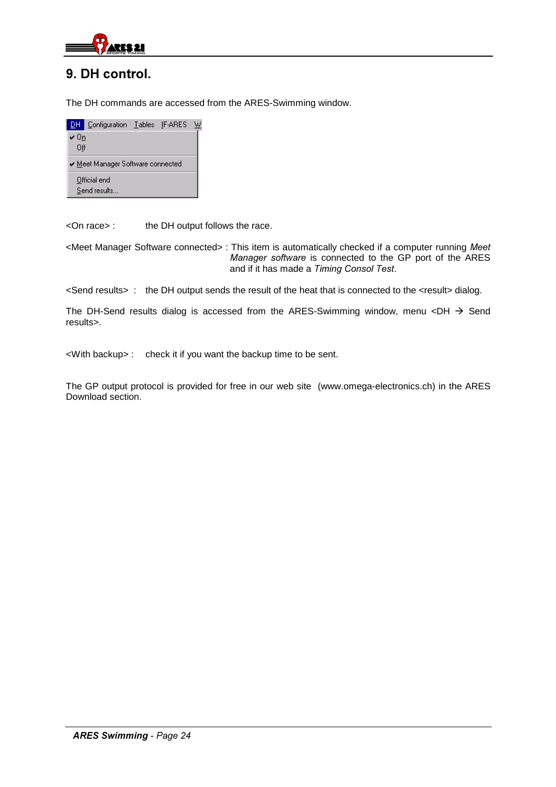

# 9. DH control.

The DH commands are accessed from the ARES-Swimming window.

| DH.                               | Configuration Tables IF-ARES |  |  | W |  |
|-----------------------------------|------------------------------|--|--|---|--|
| ✔ Ūn                              |                              |  |  |   |  |
| Off                               |                              |  |  |   |  |
| ✔ Meet Manager Software connected |                              |  |  |   |  |
| Official end                      |                              |  |  |   |  |
|                                   | Send results                 |  |  |   |  |

<On race> : the DH output follows the race.

<Meet Manager Software connected> : This item is automatically checked if a computer running */ Manager software* is connected to the GP port of the ARES and if it has made a Timing Consol Test.

<Send results> : the DH output sends the result of the heat that is connected to the <result> dialog.

The DH-Send results dialog is accessed from the ARES-Swimming window, menu <DH  $\rightarrow$  Send results>.

<With backup> : check it if you want the backup time to be sent.

The GP output protocol is provided for free in our web site (www.omega-electronics.ch) in the ARES Download section.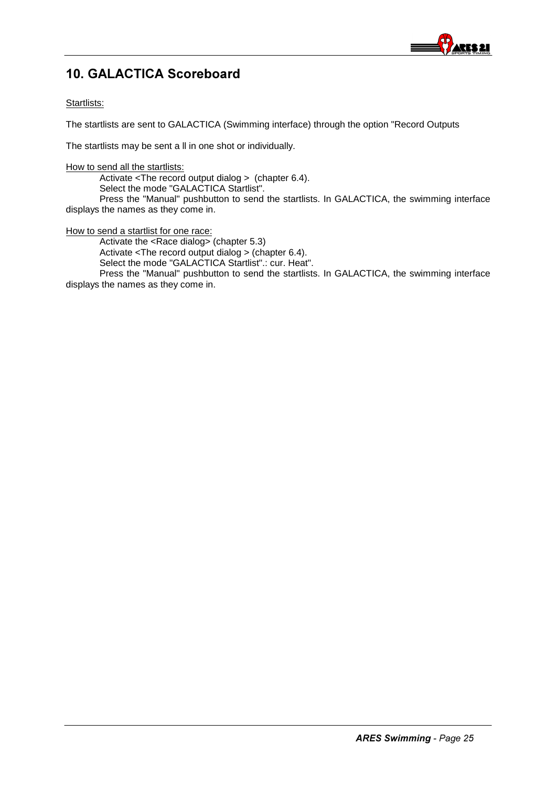

# 10. GALACTICA Scoreboard

#### Startlists:

The startlists are sent to GALACTICA (Swimming interface) through the option "Record Outputs

The startlists may be sent a ll in one shot or individually.

#### How to send all the startlists:

Activate  $\le$ The record output dialog  $>$  (chapter 6.4). Select the mode "GALACTICA Startlist".

Press the "Manual" pushbutton to send the startlists. In GALACTICA, the swimming interface displays the names as they come in.

How to send a startlist for one race:

Activate the <Race dialog> (chapter 5.3) Activate <The record output dialog > (chapter 6.4). Select the mode "GALACTICA Startlist".: cur. Heat". Press the "Manual" pushbutton to send the startlists. In GALACTICA, the swimming interface displays the names as they come in.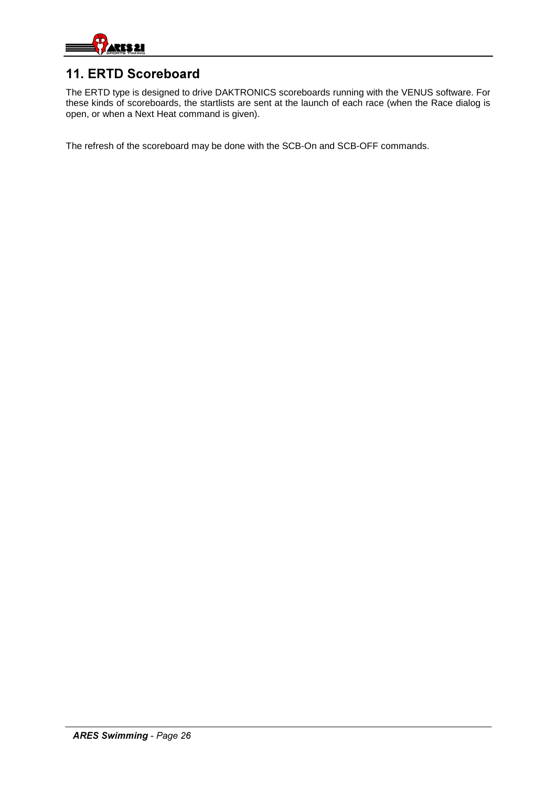

# 11. ERTD Scoreboard

The ERTD type is designed to drive DAKTRONICS scoreboards running with the VENUS software. For these kinds of scoreboards, the startlists are sent at the launch of each race (when the Race dialog is open, or when a Next Heat command is given).

The refresh of the scoreboard may be done with the SCB-On and SCB-OFF commands.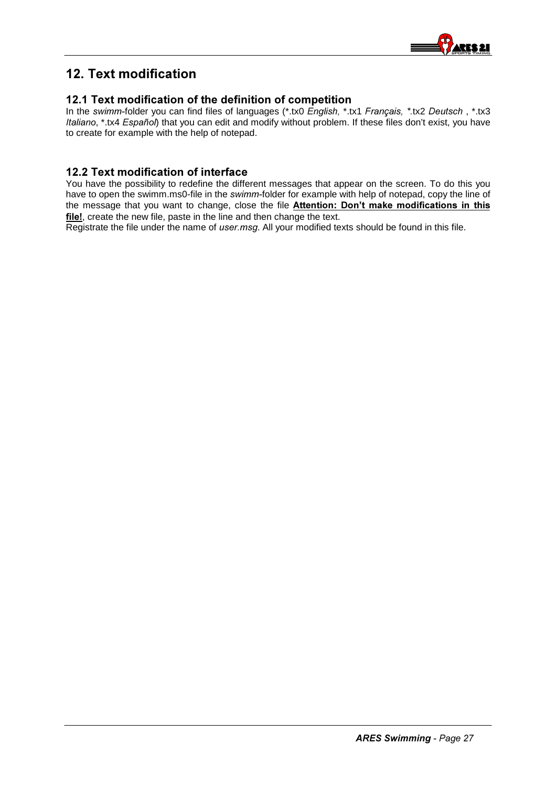

# **12. Text modification**

# 12.1 Text modification of the definition of competition

In the swimm-folder you can find files of languages (\*.tx0 *English, \*.tx1 Français, \*.tx2 Deutsch*, \*.tx3 Italiano, \*.tx4 *Español*) that you can edit and modify without problem. If these files don't exist, you have to create for example with the help of notepad.

# 12.2 Text modification of interface

You have the possibility to redefine the different messages that appear on the screen. To do this you have to open the swimm.ms0-file in the *swimm-folder for example with help of notepad*, copy the line of the message that you want to change, close the file **Attention: Don't make modifications in this** file!, create the new file, paste in the line and then change the text.

Registrate the file under the name of *user msg*. All your modified texts should be found in this file.